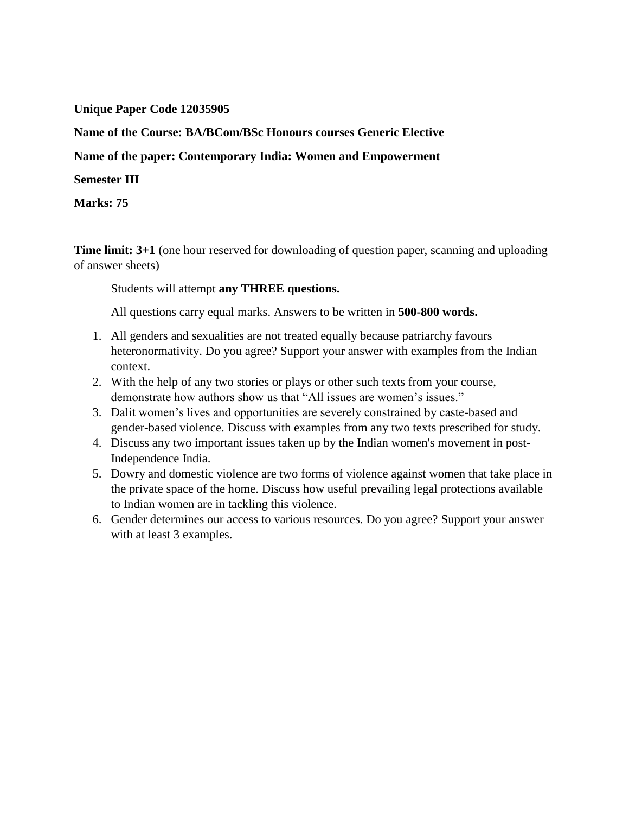## **Unique Paper Code 12035905**

**Name of the Course: BA/BCom/BSc Honours courses Generic Elective**

**Name of the paper: Contemporary India: Women and Empowerment**

#### **Semester III**

**Marks: 75**

**Time limit: 3+1** (one hour reserved for downloading of question paper, scanning and uploading of answer sheets)

Students will attempt **any THREE questions.**

All questions carry equal marks. Answers to be written in **500-800 words.**

- 1. All genders and sexualities are not treated equally because patriarchy favours heteronormativity. Do you agree? Support your answer with examples from the Indian context.
- 2. With the help of any two stories or plays or other such texts from your course, demonstrate how authors show us that "All issues are women's issues."
- 3. Dalit women's lives and opportunities are severely constrained by caste-based and gender-based violence. Discuss with examples from any two texts prescribed for study.
- 4. Discuss any two important issues taken up by the Indian women's movement in post-Independence India.
- 5. Dowry and domestic violence are two forms of violence against women that take place in the private space of the home. Discuss how useful prevailing legal protections available to Indian women are in tackling this violence.
- 6. Gender determines our access to various resources. Do you agree? Support your answer with at least 3 examples.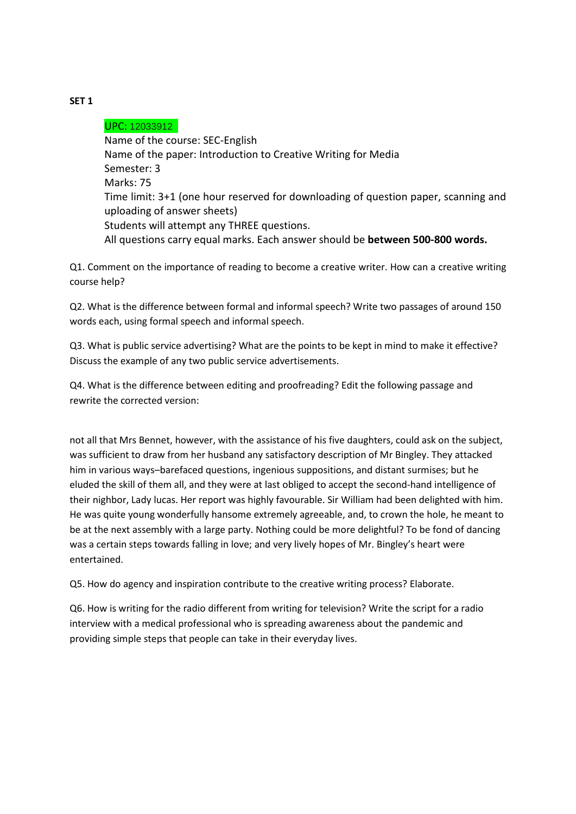### UPC: 12033912

Name of the course: SEC-English Name of the paper: Introduction to Creative Writing for Media Semester: 3 Marks: 75 Time limit: 3+1 (one hour reserved for downloading of question paper, scanning and uploading of answer sheets) Students will attempt any THREE questions. All questions carry equal marks. Each answer should be **between 500-800 words.**

Q1. Comment on the importance of reading to become a creative writer. How can a creative writing course help?

Q2. What is the difference between formal and informal speech? Write two passages of around 150 words each, using formal speech and informal speech.

Q3. What is public service advertising? What are the points to be kept in mind to make it effective? Discuss the example of any two public service advertisements.

Q4. What is the difference between editing and proofreading? Edit the following passage and rewrite the corrected version:

not all that Mrs Bennet, however, with the assistance of his five daughters, could ask on the subject, was sufficient to draw from her husband any satisfactory description of Mr Bingley. They attacked him in various ways–barefaced questions, ingenious suppositions, and distant surmises; but he eluded the skill of them all, and they were at last obliged to accept the second-hand intelligence of their nighbor, Lady lucas. Her report was highly favourable. Sir William had been delighted with him. He was quite young wonderfully hansome extremely agreeable, and, to crown the hole, he meant to be at the next assembly with a large party. Nothing could be more delightful? To be fond of dancing was a certain steps towards falling in love; and very lively hopes of Mr. Bingley's heart were entertained.

Q5. How do agency and inspiration contribute to the creative writing process? Elaborate.

Q6. How is writing for the radio different from writing for television? Write the script for a radio interview with a medical professional who is spreading awareness about the pandemic and providing simple steps that people can take in their everyday lives.

**SET 1**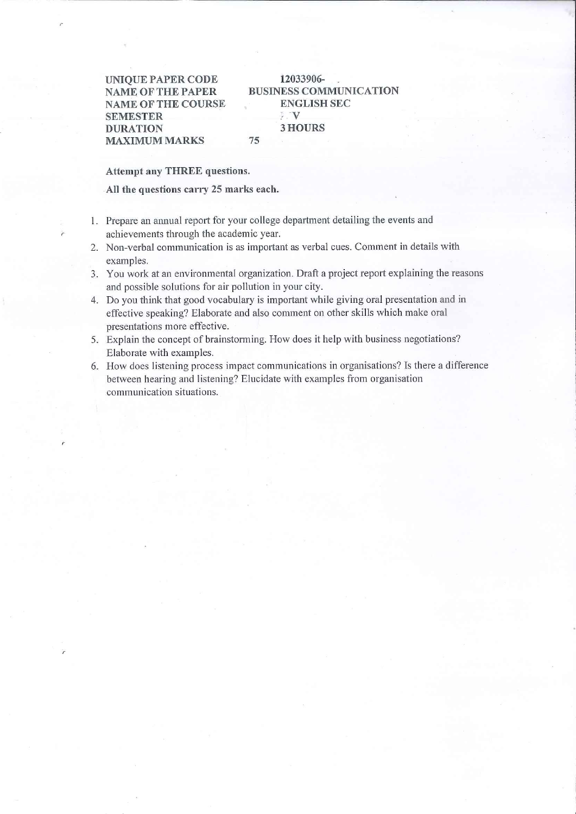**UNIQUE PAPER CODE NAME OF THE PAPER NAME OF THE COURSE SEMESTER DURATION MAXIMUM MARKS** 

#### 12033906-**BUSINESS COMMUNICATION ENGLISH SEC**  $\mathbb{E}[\mathbf{V}]$ **3 HOURS** 75

**Attempt any THREE questions.** 

All the questions carry 25 marks each.

- 1. Prepare an annual report for your college department detailing the events and achievements through the academic year.
- 2. Non-verbal communication is as important as verbal cues. Comment in details with examples.
- 3. You work at an environmental organization. Draft a project report explaining the reasons and possible solutions for air pollution in your city.
- 4. Do you think that good vocabulary is important while giving oral presentation and in effective speaking? Elaborate and also comment on other skills which make oral presentations more effective.
- 5. Explain the concept of brainstorming. How does it help with business negotiations? Elaborate with examples.
- 6. How does listening process impact communications in organisations? Is there a difference between hearing and listening? Elucidate with examples from organisation communication situations.